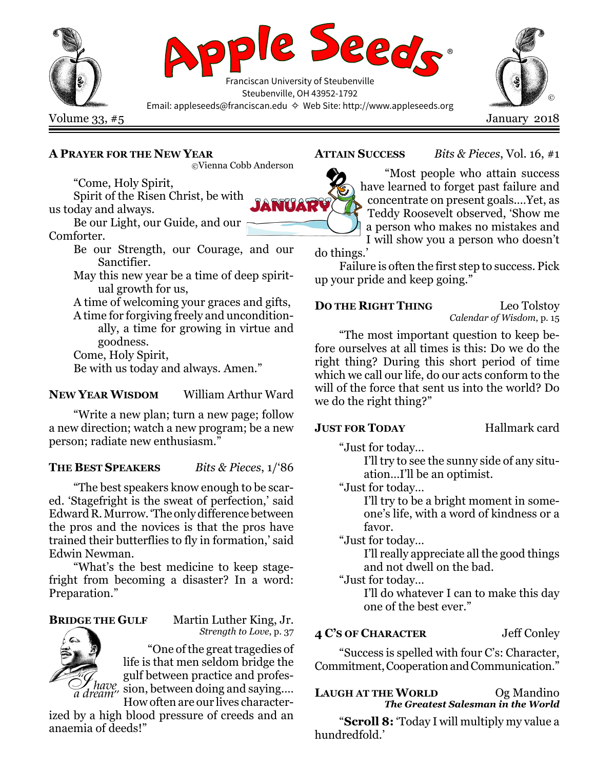

# A PRAYER FOR THE NEW YEAR

©Vienna Cobb Anderson

"Come, Holy Spirit, Spirit of the Risen Christ, be with

us today and always.

Be our Light, our Guide, and our Comforter.

> Be our Strength, our Courage, and our Sanctifier.

> May this new year be a time of deep spiritual growth for us,

> A time of welcoming your graces and gifts, A time for forgiving freely and uncondition-

ally, a time for growing in virtue and goodness.

Come, Holy Spirit,

Be with us today and always. Amen."

# NEW YEAR WISDOM William Arthur Ward

"Write a new plan; turn a new page; follow a new direction; watch a new program; be a new person; radiate new enthusiasm."

# THE BEST SPEAKERS Bits & Pieces, 1/86

"The best speakers know enough to be scared. 'Stagefright is the sweat of perfection,' said Edward R. Murrow. 'The only difference between the pros and the novices is that the pros have trained their butterflies to fly in formation,' said Edwin Newman.

"What's the best medicine to keep stagefright from becoming a disaster? In a word: Preparation."

BRIDGE THE GULF Martin Luther King, Jr. Strength to Love, p. 37

> "One of the great tragedies of life is that men seldom bridge the gulf between practice and profes- $\mathcal{S}$  have  $\mathcal{S}$  in Section, proceed the process and saying....

How often are our lives character-

ized by a high blood pressure of creeds and an anaemia of deeds!"

ATTAIN SUCCESS Bits & Pieces, Vol. 16, #1

NUAR

"Most people who attain success have learned to forget past failure and concentrate on present goals.…Yet, as Teddy Roosevelt observed, 'Show me a person who makes no mistakes and I will show you a person who doesn't

do things.'

Failure is often the first step to success. Pick up your pride and keep going."

# DO THE RIGHT THING Leo Tolstoy

Calendar of Wisdom, p. 15

"The most important question to keep before ourselves at all times is this: Do we do the right thing? During this short period of time which we call our life, do our acts conform to the will of the force that sent us into the world? Do we do the right thing?"

# **JUST FOR TODAY** Hallmark card

"Just for today…

I'll try to see the sunny side of any situation…I'll be an optimist.

"Just for today…

I'll try to be a bright moment in someone's life, with a word of kindness or a favor.

"Just for today…

I'll really appreciate all the good things and not dwell on the bad.

"Just for today…

I'll do whatever I can to make this day one of the best ever."

# 4 C'S OF CHARACTER Jeff Conley

"Success is spelled with four C's: Character, Commitment, Cooperation and Communication."

# LAUGH AT THE WORLD Og Mandino The Greatest Salesman in the World

"Scroll 8: 'Today I will multiply my value a hundredfold.'